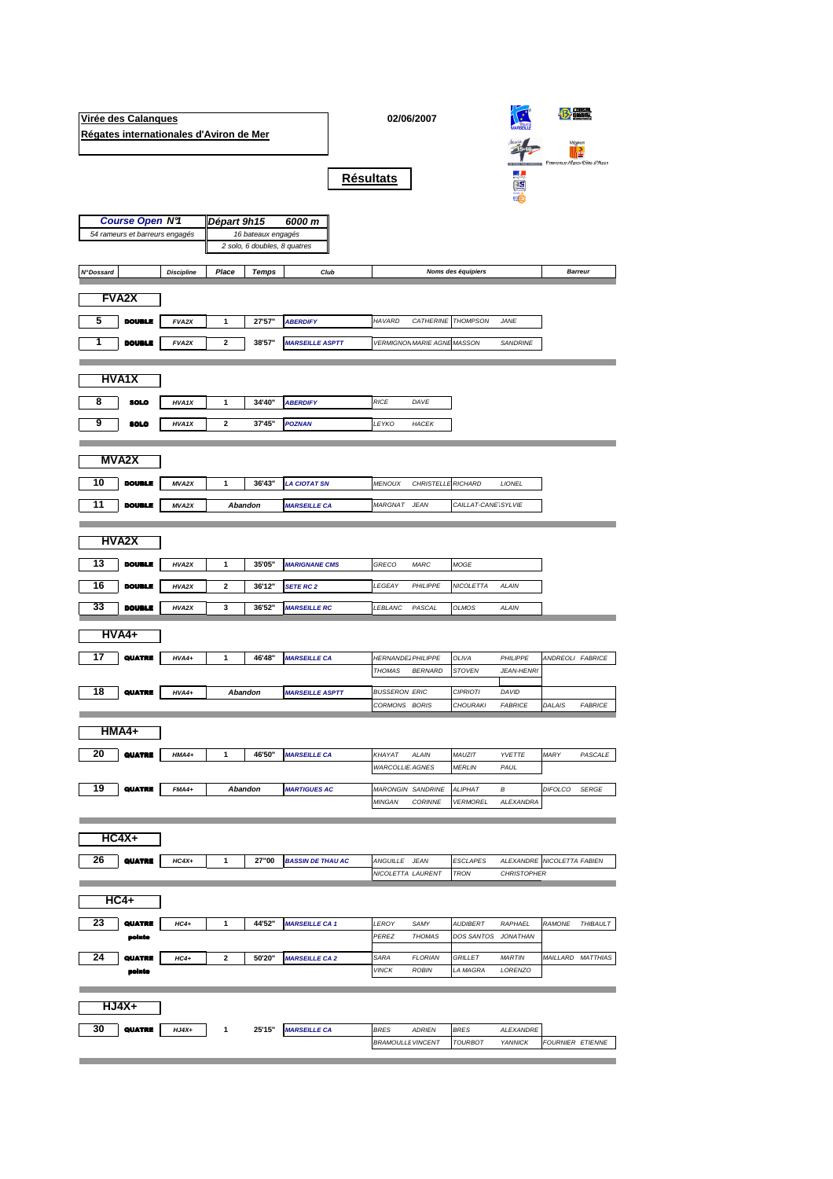|                                                                                              | Virée des Calanques | Régates internationales d'Aviron de Mer |         |         |                          |                                       | 02/06/2007                   |                                    | Région                     |                          |                           |
|----------------------------------------------------------------------------------------------|---------------------|-----------------------------------------|---------|---------|--------------------------|---------------------------------------|------------------------------|------------------------------------|----------------------------|--------------------------|---------------------------|
|                                                                                              |                     |                                         |         |         | <b>Résultats</b>         |                                       |                              |                                    |                            |                          | B<br>ce-Alpes-Cête d'Azur |
|                                                                                              |                     |                                         |         |         | 6000 m                   |                                       |                              |                                    |                            |                          |                           |
| <b>Course Open N9</b><br>Départ 9h15<br>54 rameurs et barreurs engagés<br>16 bateaux engagés |                     |                                         |         |         |                          |                                       |                              |                                    |                            |                          |                           |
| 2 solo, 6 doubles, 8 quatres                                                                 |                     |                                         |         |         |                          |                                       |                              |                                    |                            |                          |                           |
| <b>N°Dossard</b>                                                                             |                     | <b>Discipline</b>                       | Place   | Temps   | Club                     | <b>Barreur</b>                        |                              |                                    |                            |                          |                           |
|                                                                                              | <b>FVA2X</b>        |                                         |         |         |                          |                                       |                              |                                    |                            |                          |                           |
| 5                                                                                            | <b>DOUBLE</b>       | FVA2X                                   | 1       | 27'57"  | <b>ABERDIFY</b>          | HAVARD                                | CATHERINE<br><b>THOMPSON</b> |                                    | JANE                       |                          |                           |
| 1                                                                                            | <b>DOUBLE</b>       | FVA2X                                   | 2       | 38'57"  | <b>MARSEILLE ASPTT</b>   | <b>VERMIGNON MARIE AGNE MASSON</b>    |                              |                                    | <b>SANDRINE</b>            |                          |                           |
|                                                                                              | <b>HVA1X</b>        |                                         |         |         |                          |                                       |                              |                                    |                            |                          |                           |
| 8                                                                                            | SOLO                | HVA1X                                   | 1       | 34'40"  | <b>ABERDIFY</b>          | <b>RICE</b>                           | DAVE                         |                                    |                            |                          |                           |
| 9                                                                                            | <b>SOLO</b>         | HVA1X                                   | 2       | 37'45"  | <b>POZNAN</b>            | LEYKO                                 | <b>HACEK</b>                 |                                    |                            |                          |                           |
|                                                                                              |                     |                                         |         |         |                          |                                       |                              |                                    |                            |                          |                           |
|                                                                                              | <b>MVA2X</b>        |                                         |         |         |                          |                                       |                              |                                    |                            |                          |                           |
| 10                                                                                           | <b>DOUBLE</b>       | <b>MVA2X</b>                            | 1       | 36'43"  | <b>LA CIOTAT SN</b>      | <b>MENOUX</b>                         | CHRISTELLE RICHARD           |                                    | LIONEL                     |                          |                           |
| 11                                                                                           | <b>DOUBLE</b>       | MVA2X                                   |         | Abandon | <b>MARSEILLE CA</b>      | MARGNAT                               | <b>JEAN</b>                  | CAILLAT-CANE SYLVIE                |                            |                          |                           |
|                                                                                              |                     |                                         |         |         |                          |                                       |                              |                                    |                            |                          |                           |
|                                                                                              | <b>HVA2X</b>        |                                         |         |         |                          |                                       |                              |                                    |                            |                          |                           |
| 13                                                                                           | <b>DOUBLE</b>       | HVA2X                                   | 1       | 35'05"  | <b>MARIGNANE CMS</b>     | GRECO                                 | MARC                         | MOGE                               |                            |                          |                           |
| 16                                                                                           | <b>DOUBLE</b>       | HVA2X                                   | 2       | 36'12"  | SETE RC 2                | LEGEAY                                | PHILIPPE                     | NICOLETTA                          | ALAIN                      |                          |                           |
| 33                                                                                           | <b>DOUBLE</b>       | HVA2X                                   | 3       | 36'52"  | <b>MARSEILLE RC</b>      | LEBLANC                               | PASCAL                       | OLMOS                              | ALAIN                      |                          |                           |
|                                                                                              | <b>HVA4+</b>        |                                         |         |         |                          |                                       |                              |                                    |                            |                          |                           |
| 17                                                                                           | QUATRE              | $HVA4+$                                 | 1       | 46'48"  | <b>MARSEILLE CA</b>      | <b>HERNANDE2 PHILIPPE</b>             |                              | OLIVA                              | PHILIPPE                   | ANDREOLI FABRICE         |                           |
|                                                                                              |                     |                                         |         |         |                          | THOMAS                                | <b>BERNARD</b>               | STOVEN                             | <b>JEAN-HENRI</b>          |                          |                           |
| 18                                                                                           | <b>QUATRE</b>       | $HVA4+$                                 | Abandon |         | <b>MARSEILLE ASPTT</b>   | <b>BUSSERON ERIC</b><br>CORMONS BORIS |                              | <b>CIPRIOTI</b><br><b>CHOURAKI</b> | DAVID<br><b>FABRICE</b>    | DALAIS                   | <b>FABRICE</b>            |
|                                                                                              |                     |                                         |         |         |                          |                                       |                              |                                    |                            |                          |                           |
|                                                                                              | HMA4+               |                                         |         |         |                          |                                       |                              |                                    |                            |                          |                           |
| 20                                                                                           | QUATRE              | $HMAA+$                                 | 1       | 46'50"  | <b>MARSEILLE CA</b>      | KHAYAT                                | ALAIN                        | MAUZIT                             | <b>YVETTE</b>              | MARY                     | PASCALE                   |
|                                                                                              |                     |                                         |         |         |                          | <b>WARCOLLIE AGNES</b>                |                              | <b>MERLIN</b>                      | PAUL                       |                          |                           |
| 19                                                                                           | <b>QUATRE</b>       | $FMA4+$                                 |         | Abandon | <b>MARTIGUES AC</b>      |                                       | <b>MARONGIN SANDRINE</b>     | ALIPHAT                            | В                          | DIFOLCO                  | <b>SERGE</b>              |
|                                                                                              |                     |                                         |         |         |                          | MINGAN                                | <b>CORINNE</b>               | <b>VERMOREL</b>                    | ALEXANDRA                  |                          |                           |
|                                                                                              | $HC4X+$             |                                         |         |         |                          |                                       |                              |                                    |                            |                          |                           |
| 26                                                                                           | QUATRE              | $HC4X+$                                 | 1       | 27"00   | <b>BASSIN DE THAU AC</b> | ANGUILLE JEAN                         |                              | <b>ESCLAPES</b>                    | ALEXANDRE NICOLETTA FABIEN |                          |                           |
|                                                                                              |                     |                                         |         |         |                          | NICOLETTA LAURENT                     |                              | <b>TRON</b>                        | <b>CHRISTOPHER</b>         |                          |                           |
|                                                                                              | <b>HC4+</b>         |                                         |         |         |                          |                                       |                              |                                    |                            |                          |                           |
| 23                                                                                           | <b>QUATRE</b>       | $HC4+$                                  | 1       | 44'52"  | <b>MARSEILLE CA 1</b>    | LEROY                                 | SAMY                         | <b>AUDIBERT</b>                    | RAPHAEL                    | RAMONE                   | <b>THIBAULT</b>           |
|                                                                                              | pointe              |                                         |         |         |                          | PEREZ                                 | <b>THOMAS</b>                | DOS SANTOS                         | <b>JONATHAN</b>            |                          |                           |
| 24                                                                                           | QUATRE              | $HC4+$                                  | 2       | 50'20"  | <b>MARSEILLE CA 2</b>    | SARA                                  | <b>FLORIAN</b>               | <i>GRILLET</i>                     | MARTIN                     | <i>MAILLARD MATTHIAS</i> |                           |
|                                                                                              | pointe              |                                         |         |         |                          | <b>VINCK</b>                          | <b>ROBIN</b>                 | LA MAGRA                           | LORENZO                    |                          |                           |
|                                                                                              |                     |                                         |         |         |                          |                                       |                              |                                    |                            |                          |                           |
|                                                                                              | HJ4X+               |                                         |         |         |                          |                                       |                              |                                    |                            |                          |                           |
| 30                                                                                           | QUATRE              | $HJ4X+$                                 | 1       | 25'15"  | <b>MARSEILLE CA</b>      | BRES                                  | <b>ADRIEN</b>                | <b>BRES</b>                        | ALEXANDRE                  |                          |                           |
|                                                                                              |                     |                                         |         |         |                          | <b>BRAMOULLE VINCENT</b>              |                              | TOURBOT                            | <b>YANNICK</b>             | FOURNIER ETIENNE         |                           |

the control of the control of the control of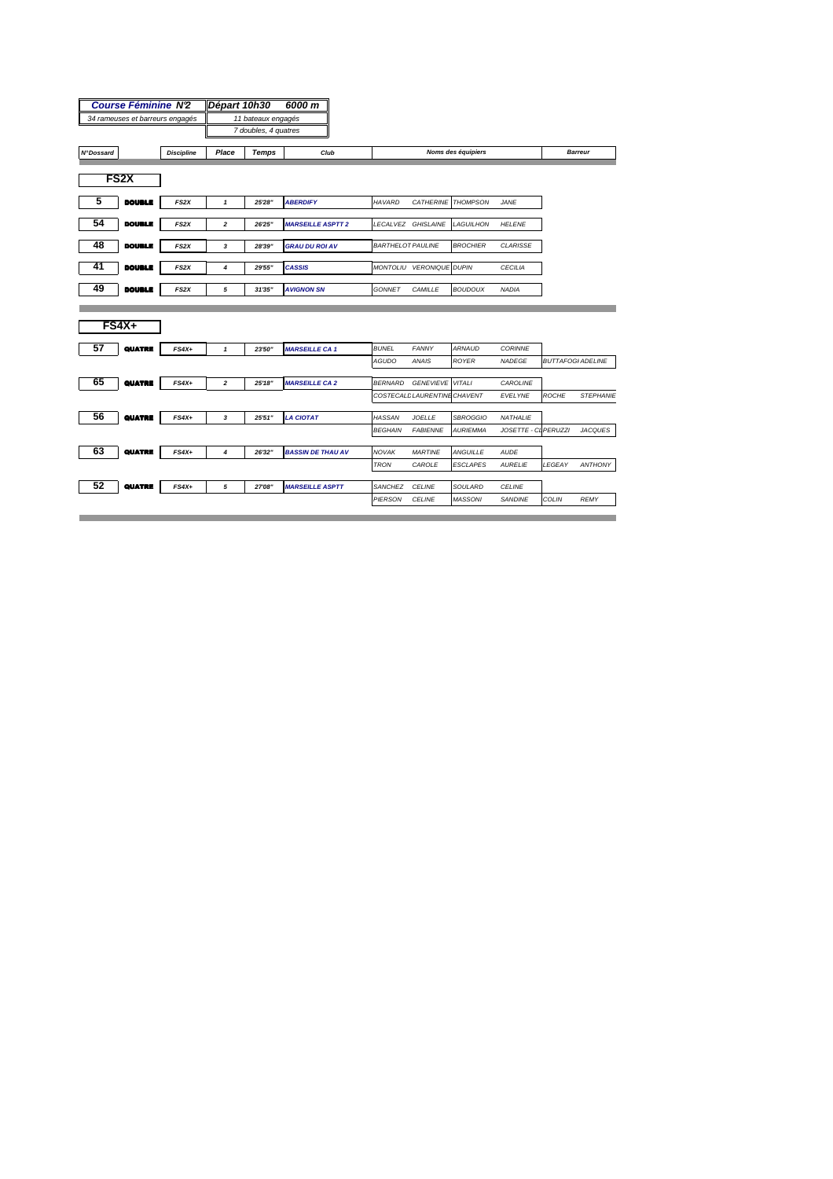|                                       | <b>Course Féminine N2</b> |                               | Départ 10h30         |                    | 6000 m                   |  |                          |                              |                    |                      |                          |                  |
|---------------------------------------|---------------------------|-------------------------------|----------------------|--------------------|--------------------------|--|--------------------------|------------------------------|--------------------|----------------------|--------------------------|------------------|
| 34 rameuses et barreurs engagés       |                           |                               | 11 bateaux engagés   |                    |                          |  |                          |                              |                    |                      |                          |                  |
|                                       |                           |                               | 7 doubles, 4 quatres |                    |                          |  |                          |                              |                    |                      |                          |                  |
| <b>N°Dossard</b><br><b>Discipline</b> |                           | Place<br><b>Temps</b><br>Club |                      | Noms des équipiers |                          |  |                          |                              |                    | <b>Barreur</b>       |                          |                  |
|                                       |                           |                               |                      |                    |                          |  |                          |                              |                    |                      |                          |                  |
|                                       | FS <sub>2</sub> X         |                               |                      |                    |                          |  |                          |                              |                    |                      |                          |                  |
| 5                                     | <b>DOUBLE</b>             | FS <sub>2</sub> X             | $\mathbf{1}$         | 25'28"             | <b>ABERDIFY</b>          |  | <b>HAVARD</b>            |                              | CATHERINE THOMPSON | <b>JANE</b>          |                          |                  |
| 54                                    | <b>DOUBLE</b>             | FS <sub>2</sub> X             | $\overline{2}$       | 26'25"             | <b>MARSEILLE ASPTT 2</b> |  |                          | LECALVEZ GHISLAINE           | <b>LAGUILHON</b>   | <b>HELENE</b>        |                          |                  |
| 48                                    | <b>DOUBLE</b>             | FS <sub>2</sub> X             | 3                    | 28'39"             | <b>GRAU DU ROI AV</b>    |  | <b>BARTHELOT PAULINE</b> |                              | <b>BROCHIER</b>    | <b>CLARISSE</b>      |                          |                  |
| 41                                    | <b>DOUBLE</b>             | FS <sub>2</sub> X             | 4                    | 29'55"             | <b>CASSIS</b>            |  |                          | MONTOLIU VERONIQUE DUPIN     |                    | <b>CECILIA</b>       |                          |                  |
| 49                                    | <b>DOUBLE</b>             | FS <sub>2</sub> X             | 5                    | 31'35"             | <b>AVIGNON SN</b>        |  | <b>GONNET</b>            | CAMILLE                      | <b>BOUDOUX</b>     | <b>NADIA</b>         |                          |                  |
|                                       | $FS4X+$                   |                               |                      |                    |                          |  |                          |                              |                    |                      |                          |                  |
| 57                                    | QUATRE                    | $FS4X+$                       | $\mathbf{1}$         | 23'50"             | <b>MARSEILLE CA 1</b>    |  | <b>BUNEL</b>             | <b>FANNY</b>                 | <b>ARNAUD</b>      | <b>CORINNE</b>       |                          |                  |
|                                       |                           |                               |                      |                    |                          |  | <b>AGUDO</b>             | <b>ANAIS</b>                 | <b>ROYER</b>       | <b>NADEGE</b>        | <b>BUTTAFOGI ADELINE</b> |                  |
| 65                                    | QUATRE                    | $FS4X+$                       | $\overline{2}$       | 25'18"             | <b>MARSEILLE CA 2</b>    |  | <b>BERNARD</b>           | <b>GENEVIEVE VITALI</b>      |                    | CAROLINE             |                          |                  |
|                                       |                           |                               |                      |                    |                          |  |                          | COSTECALL LAURENTINE CHAVENT |                    | EVELYNE              | <b>ROCHE</b>             | <b>STEPHANIE</b> |
| 56                                    | <b>QUATRE</b>             | $FS4X+$                       | 3                    | 25'51"             | <b>LA CIOTAT</b>         |  | <b>HASSAN</b>            | <b>JOELLE</b>                | <b>SBROGGIO</b>    | NATHALIE             |                          |                  |
|                                       |                           |                               |                      |                    |                          |  | <b>BEGHAIN</b>           | <b>FABIENNE</b>              | <b>AURIEMMA</b>    | JOSETTE - CL PERUZZI |                          | <b>JACQUES</b>   |
| 63                                    | QUATRE                    | $FS4X+$                       | 4                    | 26'32"             | <b>BASSIN DE THAU AV</b> |  | NOVAK                    | <b>MARTINE</b>               | <b>ANGUILLE</b>    | AUDE                 |                          |                  |
|                                       |                           |                               |                      |                    |                          |  | <b>TRON</b>              | CAROLE                       | <b>ESCLAPES</b>    | <b>AURELIE</b>       | LEGEAY                   | <b>ANTHONY</b>   |
| 52                                    | <b>QUATRE</b>             | $FS4X+$                       | 5                    | 27'08"             | <b>MARSEILLE ASPTT</b>   |  | SANCHEZ                  | <b>CELINE</b>                | SOULARD            | <b>CELINE</b>        |                          |                  |
|                                       |                           |                               |                      |                    |                          |  | PIERSON                  | <b>CELINE</b>                | <b>MASSONI</b>     | <b>SANDINE</b>       | COLIN                    | <b>REMY</b>      |
|                                       |                           |                               |                      |                    |                          |  |                          |                              |                    |                      |                          |                  |